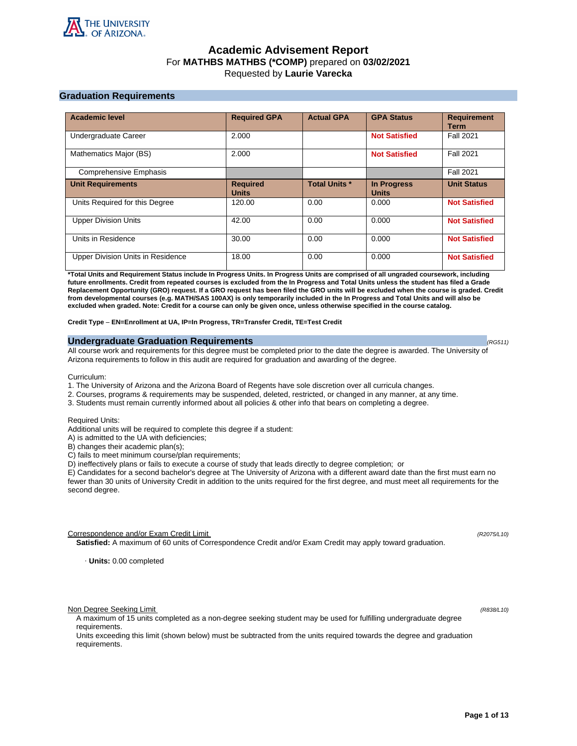

# **Academic Advisement Report** For **MATHBS MATHBS (\*COMP)** prepared on **03/02/2021** Requested by **Laurie Varecka**

# **Graduation Requirements**

| <b>Academic level</b>             | <b>Required GPA</b>             | <b>Actual GPA</b>    | <b>GPA Status</b>                  | <b>Requirement</b><br><b>Term</b> |
|-----------------------------------|---------------------------------|----------------------|------------------------------------|-----------------------------------|
| Undergraduate Career              | 2.000                           |                      | <b>Not Satisfied</b>               | <b>Fall 2021</b>                  |
| Mathematics Major (BS)            | 2.000                           |                      | <b>Not Satisfied</b>               | <b>Fall 2021</b>                  |
| <b>Comprehensive Emphasis</b>     |                                 |                      |                                    | <b>Fall 2021</b>                  |
| <b>Unit Requirements</b>          | <b>Required</b><br><b>Units</b> | <b>Total Units *</b> | <b>In Progress</b><br><b>Units</b> | <b>Unit Status</b>                |
| Units Required for this Degree    | 120.00                          | 0.00                 | 0.000                              | <b>Not Satisfied</b>              |
| <b>Upper Division Units</b>       | 42.00                           | 0.00                 | 0.000                              | <b>Not Satisfied</b>              |
| Units in Residence                | 30.00                           | 0.00                 | 0.000                              | <b>Not Satisfied</b>              |
| Upper Division Units in Residence | 18.00                           | 0.00                 | 0.000                              | <b>Not Satisfied</b>              |

**\*Total Units and Requirement Status include In Progress Units. In Progress Units are comprised of all ungraded coursework, including future enrollments. Credit from repeated courses is excluded from the In Progress and Total Units unless the student has filed a Grade Replacement Opportunity (GRO) request. If a GRO request has been filed the GRO units will be excluded when the course is graded. Credit from developmental courses (e.g. MATH/SAS 100AX) is only temporarily included in the In Progress and Total Units and will also be excluded when graded. Note: Credit for a course can only be given once, unless otherwise specified in the course catalog.**

**Credit Type** – **EN=Enrollment at UA, IP=In Progress, TR=Transfer Credit, TE=Test Credit**

# **Undergraduate Graduation Requirements (RG511) (RG511) (RG511) (RG511)**

All course work and requirements for this degree must be completed prior to the date the degree is awarded. The University of Arizona requirements to follow in this audit are required for graduation and awarding of the degree.

Curriculum:

- 1. The University of Arizona and the Arizona Board of Regents have sole discretion over all curricula changes.
- 2. Courses, programs & requirements may be suspended, deleted, restricted, or changed in any manner, at any time.
- 3. Students must remain currently informed about all policies & other info that bears on completing a degree.

Required Units:

Additional units will be required to complete this degree if a student:

A) is admitted to the UA with deficiencies;

B) changes their academic plan(s);

C) fails to meet minimum course/plan requirements;

D) ineffectively plans or fails to execute a course of study that leads directly to degree completion; or

E) Candidates for a second bachelor's degree at The University of Arizona with a different award date than the first must earn no fewer than 30 units of University Credit in addition to the units required for the first degree, and must meet all requirements for the second degree.

Correspondence and/or Exam Credit Limit (R2075/L10) (R2075/L10)

**Satisfied:** A maximum of 60 units of Correspondence Credit and/or Exam Credit may apply toward graduation.

· **Units:** 0.00 completed

Non Degree Seeking Limit (R838/L10)

A maximum of 15 units completed as a non-degree seeking student may be used for fulfilling undergraduate degree requirements.

Units exceeding this limit (shown below) must be subtracted from the units required towards the degree and graduation requirements.

**Page 1 of 13**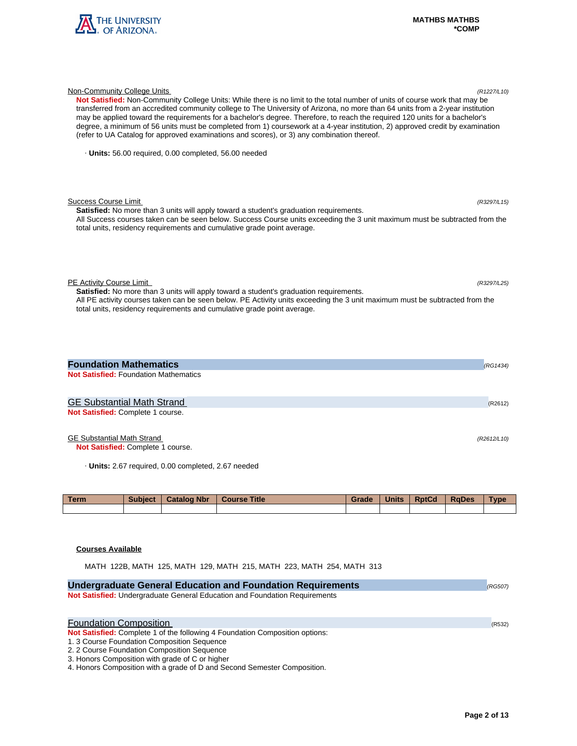

| Not Satisfied: Non-Community College Units: While there is no limit to the total number of units of course work that may be<br>transferred from an accredited community college to The University of Arizona, no more than 64 units from a 2-year institution<br>may be applied toward the requirements for a bachelor's degree. Therefore, to reach the required 120 units for a bachelor's<br>degree, a minimum of 56 units must be completed from 1) coursework at a 4-year institution, 2) approved credit by examination<br>(refer to UA Catalog for approved examinations and scores), or 3) any combination thereof. |          |
|-----------------------------------------------------------------------------------------------------------------------------------------------------------------------------------------------------------------------------------------------------------------------------------------------------------------------------------------------------------------------------------------------------------------------------------------------------------------------------------------------------------------------------------------------------------------------------------------------------------------------------|----------|
| · Units: 56.00 required, 0.00 completed, 56.00 needed                                                                                                                                                                                                                                                                                                                                                                                                                                                                                                                                                                       |          |
| <b>Success Course Limit</b><br>(R3297/L15)<br><b>Satisfied:</b> No more than 3 units will apply toward a student's graduation requirements.<br>All Success courses taken can be seen below. Success Course units exceeding the 3 unit maximum must be subtracted from the<br>total units, residency requirements and cumulative grade point average.                                                                                                                                                                                                                                                                        |          |
| PE Activity Course Limit<br>(R3297/L25)<br>Satisfied: No more than 3 units will apply toward a student's graduation requirements.<br>All PE activity courses taken can be seen below. PE Activity units exceeding the 3 unit maximum must be subtracted from the<br>total units, residency requirements and cumulative grade point average.                                                                                                                                                                                                                                                                                 |          |
| <b>Foundation Mathematics</b>                                                                                                                                                                                                                                                                                                                                                                                                                                                                                                                                                                                               | (RG1434) |
| <b>Not Satisfied: Foundation Mathematics</b>                                                                                                                                                                                                                                                                                                                                                                                                                                                                                                                                                                                |          |
| <b>GE Substantial Math Strand</b><br>Not Satisfied: Complete 1 course.                                                                                                                                                                                                                                                                                                                                                                                                                                                                                                                                                      | (R2612)  |

Non-Community College Units (R1227/L10)

# GE Substantial Math Strand (R2612/L10)

**Not Satisfied:** Complete 1 course.

· **Units:** 2.67 required, 0.00 completed, 2.67 needed

| <b>Term</b> | <b>Subject</b> | <b>Catalog Nbr</b> | <b>Course Title</b> | Grade | <b>Units</b> | <b>RptCd</b> | <b>RaDes</b> | <b>Type</b> |
|-------------|----------------|--------------------|---------------------|-------|--------------|--------------|--------------|-------------|
|             |                |                    |                     |       |              |              |              |             |

# **Courses Available**

MATH 122B, MATH 125, MATH 129, MATH 215, MATH 223, MATH 254, MATH 313

| <b>Undergraduate General Education and Foundation Requirements</b>           | (RG507) |
|------------------------------------------------------------------------------|---------|
| Not Satisfied: Undergraduate General Education and Foundation Requirements   |         |
|                                                                              |         |
| <b>Foundation Composition</b>                                                | (R532)  |
| Not Satisfied: Complete 1 of the following 4 Foundation Composition options: |         |
| 1.3 Course Foundation Composition Sequence                                   |         |
| 2. 2 Course Foundation Composition Sequence                                  |         |
| 3. Honors Composition with grade of C or higher                              |         |
| 4. Honors Composition with a grade of D and Second Semester Composition.     |         |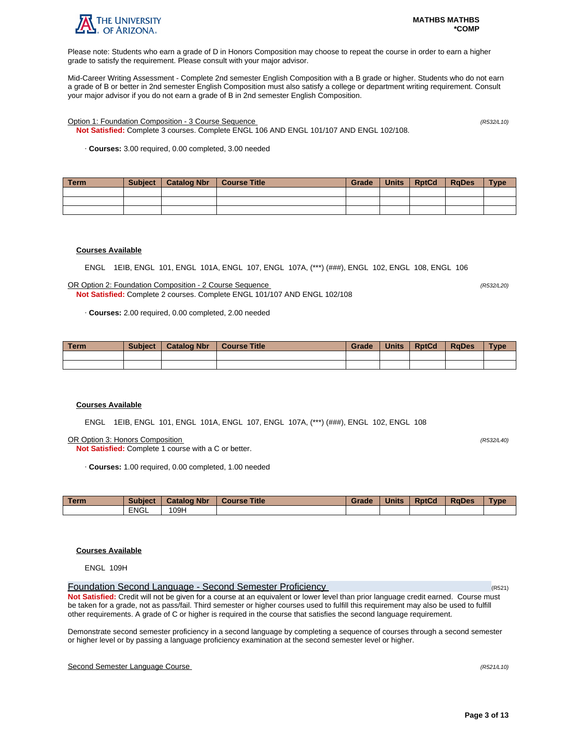

Please note: Students who earn a grade of D in Honors Composition may choose to repeat the course in order to earn a higher grade to satisfy the requirement. Please consult with your major advisor.

Mid-Career Writing Assessment - Complete 2nd semester English Composition with a B grade or higher. Students who do not earn a grade of B or better in 2nd semester English Composition must also satisfy a college or department writing requirement. Consult your major advisor if you do not earn a grade of B in 2nd semester English Composition.

Option 1: Foundation Composition - 3 Course Sequence (R532/L10)

**Not Satisfied:** Complete 3 courses. Complete ENGL 106 AND ENGL 101/107 AND ENGL 102/108.

· **Courses:** 3.00 required, 0.00 completed, 3.00 needed

| Term | <b>Subject</b> | Catalog Nbr | Course Title | Grade | Units | <b>RptCd</b> | <b>RaDes</b> | <b>Type</b> |
|------|----------------|-------------|--------------|-------|-------|--------------|--------------|-------------|
|      |                |             |              |       |       |              |              |             |
|      |                |             |              |       |       |              |              |             |
|      |                |             |              |       |       |              |              |             |

# **Courses Available**

ENGL 1EIB, ENGL 101, ENGL 101A, ENGL 107, ENGL 107A, (\*\*\*) (###), ENGL 102, ENGL 108, ENGL 106

OR Option 2: Foundation Composition - 2 Course Sequence (R532/L20) **Not Satisfied:** Complete 2 courses. Complete ENGL 101/107 AND ENGL 102/108

· **Courses:** 2.00 required, 0.00 completed, 2.00 needed

| <b>Term</b> | <b>Subject</b> | <b>Catalog Nbr</b> | <b>Course Title</b> | Grade | <b>Units</b> | <b>RptCd</b> | <b>RaDes</b> | <b>Type</b> |
|-------------|----------------|--------------------|---------------------|-------|--------------|--------------|--------------|-------------|
|             |                |                    |                     |       |              |              |              |             |
|             |                |                    |                     |       |              |              |              |             |

# **Courses Available**

ENGL 1EIB, ENGL 101, ENGL 101A, ENGL 107, ENGL 107A, (\*\*\*) (###), ENGL 102, ENGL 108

OR Option 3: Honors Composition (R532/L40)

**Not Satisfied:** Complete 1 course with a C or better.

· **Courses:** 1.00 required, 0.00 completed, 1.00 needed

| <b>Term</b> | <b>Subject</b> | <b>Catalog Nbr</b> | <b>Course Title</b> | Grade | <b>Units</b> | <b>RptCd</b> | <b>RaDes</b> | Type |
|-------------|----------------|--------------------|---------------------|-------|--------------|--------------|--------------|------|
|             | <b>ENGL</b>    | 109H               |                     |       |              |              |              |      |

# **Courses Available**

ENGL 109H

Foundation Second Language - Second Semester Proficiency (R521) **Not Satisfied:** Credit will not be given for a course at an equivalent or lower level than prior language credit earned. Course must be taken for a grade, not as pass/fail. Third semester or higher courses used to fulfill this requirement may also be used to fulfill other requirements. A grade of C or higher is required in the course that satisfies the second language requirement.

Demonstrate second semester proficiency in a second language by completing a sequence of courses through a second semester or higher level or by passing a language proficiency examination at the second semester level or higher.

# Second Semester Language Course (R521/L10)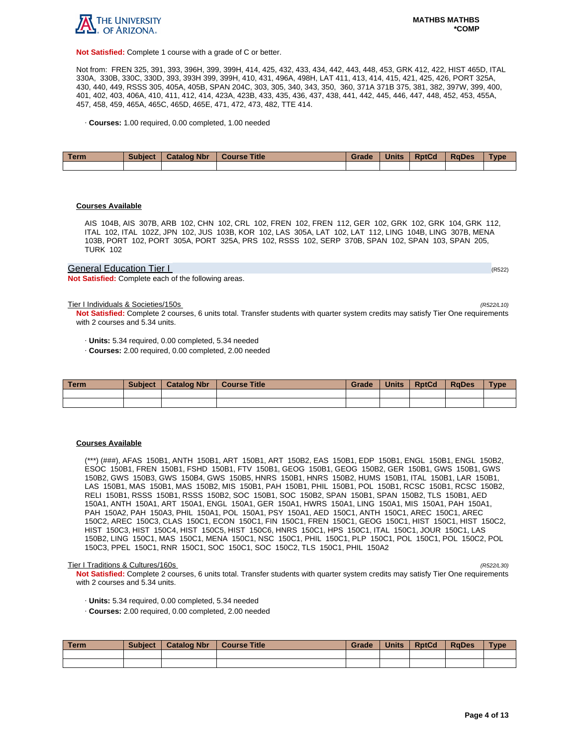

**Not Satisfied:** Complete 1 course with a grade of C or better.

Not from: FREN 325, 391, 393, 396H, 399, 399H, 414, 425, 432, 433, 434, 442, 443, 448, 453, GRK 412, 422, HIST 465D, ITAL 330A, 330B, 330C, 330D, 393, 393H 399, 399H, 410, 431, 496A, 498H, LAT 411, 413, 414, 415, 421, 425, 426, PORT 325A, 430, 440, 449, RSSS 305, 405A, 405B, SPAN 204C, 303, 305, 340, 343, 350, 360, 371A 371B 375, 381, 382, 397W, 399, 400, 401, 402, 403, 406A, 410, 411, 412, 414, 423A, 423B, 433, 435, 436, 437, 438, 441, 442, 445, 446, 447, 448, 452, 453, 455A, 457, 458, 459, 465A, 465C, 465D, 465E, 471, 472, 473, 482, TTE 414.

· **Courses:** 1.00 required, 0.00 completed, 1.00 needed

| Term | <b>Subject</b> | <b>Catalog Nbr</b> | <b>Course Title</b> | Grade | <b>Units</b> | <b>RptCd</b> | <b>RaDes</b> | Type |
|------|----------------|--------------------|---------------------|-------|--------------|--------------|--------------|------|
|      |                |                    |                     |       |              |              |              |      |

# **Courses Available**

AIS 104B, AIS 307B, ARB 102, CHN 102, CRL 102, FREN 102, FREN 112, GER 102, GRK 102, GRK 104, GRK 112, ITAL 102, ITAL 102Z, JPN 102, JUS 103B, KOR 102, LAS 305A, LAT 102, LAT 112, LING 104B, LING 307B, MENA 103B, PORT 102, PORT 305A, PORT 325A, PRS 102, RSSS 102, SERP 370B, SPAN 102, SPAN 103, SPAN 205, TURK 102

# General Education Tier I (RS22) And The Contract of the Contract of the Contract of the Contract of the Contract of the Contract of the Contract of the Contract of the Contract of the Contract of the Contract of the Contra

**Not Satisfied:** Complete each of the following areas.

Tier I Individuals & Societies/150s (R522/L10)

**Not Satisfied:** Complete 2 courses, 6 units total. Transfer students with quarter system credits may satisfy Tier One requirements with 2 courses and 5.34 units.

· **Units:** 5.34 required, 0.00 completed, 5.34 needed

· **Courses:** 2.00 required, 0.00 completed, 2.00 needed

| Term | <b>Subject</b> | <b>Catalog Nbr</b> | <b>Course Title</b> | Grade | <b>Units</b> | <b>RptCd</b> | <b>RaDes</b> | Type |
|------|----------------|--------------------|---------------------|-------|--------------|--------------|--------------|------|
|      |                |                    |                     |       |              |              |              |      |
|      |                |                    |                     |       |              |              |              |      |

# **Courses Available**

(\*\*\*) (###), AFAS 150B1, ANTH 150B1, ART 150B1, ART 150B2, EAS 150B1, EDP 150B1, ENGL 150B1, ENGL 150B2, ESOC 150B1, FREN 150B1, FSHD 150B1, FTV 150B1, GEOG 150B1, GEOG 150B2, GER 150B1, GWS 150B1, GWS 150B2, GWS 150B3, GWS 150B4, GWS 150B5, HNRS 150B1, HNRS 150B2, HUMS 150B1, ITAL 150B1, LAR 150B1, LAS 150B1, MAS 150B1, MAS 150B2, MIS 150B1, PAH 150B1, PHIL 150B1, POL 150B1, RCSC 150B1, RCSC 150B2, RELI 150B1, RSSS 150B1, RSSS 150B2, SOC 150B1, SOC 150B2, SPAN 150B1, SPAN 150B2, TLS 150B1, AED 150A1, ANTH 150A1, ART 150A1, ENGL 150A1, GER 150A1, HWRS 150A1, LING 150A1, MIS 150A1, PAH 150A1, PAH 150A2, PAH 150A3, PHIL 150A1, POL 150A1, PSY 150A1, AED 150C1, ANTH 150C1, AREC 150C1, AREC 150C2, AREC 150C3, CLAS 150C1, ECON 150C1, FIN 150C1, FREN 150C1, GEOG 150C1, HIST 150C1, HIST 150C2, HIST 150C3, HIST 150C4, HIST 150C5, HIST 150C6, HNRS 150C1, HPS 150C1, ITAL 150C1, JOUR 150C1, LAS 150B2, LING 150C1, MAS 150C1, MENA 150C1, NSC 150C1, PHIL 150C1, PLP 150C1, POL 150C1, POL 150C2, POL 150C3, PPEL 150C1, RNR 150C1, SOC 150C1, SOC 150C2, TLS 150C1, PHIL 150A2

#### Tier I Traditions & Cultures/160s (R522/L30)

**Not Satisfied:** Complete 2 courses, 6 units total. Transfer students with quarter system credits may satisfy Tier One requirements with 2 courses and 5.34 units.

- · **Units:** 5.34 required, 0.00 completed, 5.34 needed
- · **Courses:** 2.00 required, 0.00 completed, 2.00 needed

| Term | <b>Subject</b> | <b>Catalog Nbr</b> | <b>Course Title</b> | Grade | <b>Units</b> | RptCd | RaDes | <b>Type</b> |
|------|----------------|--------------------|---------------------|-------|--------------|-------|-------|-------------|
|      |                |                    |                     |       |              |       |       |             |
|      |                |                    |                     |       |              |       |       |             |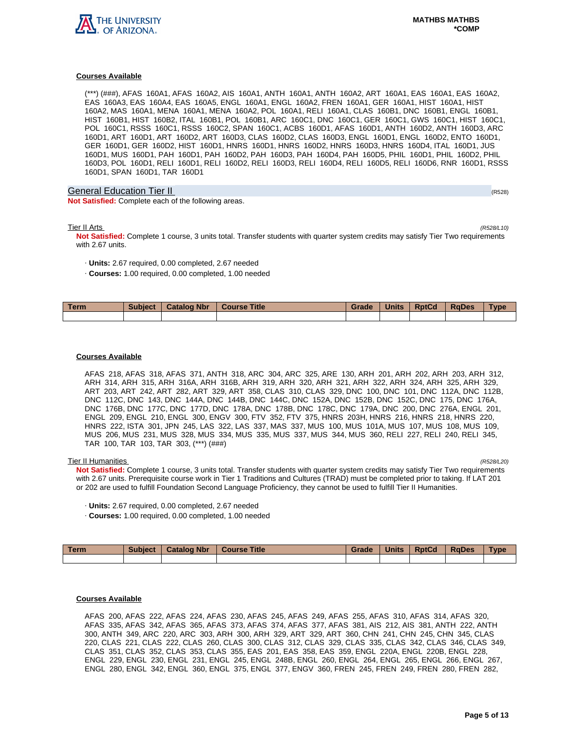

(\*\*\*) (###), AFAS 160A1, AFAS 160A2, AIS 160A1, ANTH 160A1, ANTH 160A2, ART 160A1, EAS 160A1, EAS 160A2, EAS 160A3, EAS 160A4, EAS 160A5, ENGL 160A1, ENGL 160A2, FREN 160A1, GER 160A1, HIST 160A1, HIST 160A2, MAS 160A1, MENA 160A1, MENA 160A2, POL 160A1, RELI 160A1, CLAS 160B1, DNC 160B1, ENGL 160B1, HIST 160B1, HIST 160B2, ITAL 160B1, POL 160B1, ARC 160C1, DNC 160C1, GER 160C1, GWS 160C1, HIST 160C1, POL 160C1, RSSS 160C1, RSSS 160C2, SPAN 160C1, ACBS 160D1, AFAS 160D1, ANTH 160D2, ANTH 160D3, ARC 160D1, ART 160D1, ART 160D2, ART 160D3, CLAS 160D2, CLAS 160D3, ENGL 160D1, ENGL 160D2, ENTO 160D1, GER 160D1, GER 160D2, HIST 160D1, HNRS 160D1, HNRS 160D2, HNRS 160D3, HNRS 160D4, ITAL 160D1, JUS 160D1, MUS 160D1, PAH 160D1, PAH 160D2, PAH 160D3, PAH 160D4, PAH 160D5, PHIL 160D1, PHIL 160D2, PHIL 160D3, POL 160D1, RELI 160D1, RELI 160D2, RELI 160D3, RELI 160D4, RELI 160D5, RELI 160D6, RNR 160D1, RSSS 160D1, SPAN 160D1, TAR 160D1

# General Education Tier II (R528) (R528) (R528) (R528) (R528) (R528) (R528) (R528)

**Not Satisfied:** Complete each of the following areas.

Tier II Arts (R528/L10)

**Not Satisfied:** Complete 1 course, 3 units total. Transfer students with quarter system credits may satisfy Tier Two requirements with 2.67 units.

- · **Units:** 2.67 required, 0.00 completed, 2.67 needed
- · **Courses:** 1.00 required, 0.00 completed, 1.00 needed

| <b>Term</b> | <b>Subject</b> | <b>Catalog Nbr</b> | <b>Course Title</b> | Grade | <b>Units</b> | <b>RptCd</b> | <b>RaDes</b> | <b>Type</b> |
|-------------|----------------|--------------------|---------------------|-------|--------------|--------------|--------------|-------------|
|             |                |                    |                     |       |              |              |              |             |

# **Courses Available**

AFAS 218, AFAS 318, AFAS 371, ANTH 318, ARC 304, ARC 325, ARE 130, ARH 201, ARH 202, ARH 203, ARH 312, ARH 314, ARH 315, ARH 316A, ARH 316B, ARH 319, ARH 320, ARH 321, ARH 322, ARH 324, ARH 325, ARH 329, ART 203, ART 242, ART 282, ART 329, ART 358, CLAS 310, CLAS 329, DNC 100, DNC 101, DNC 112A, DNC 112B, DNC 112C, DNC 143, DNC 144A, DNC 144B, DNC 144C, DNC 152A, DNC 152B, DNC 152C, DNC 175, DNC 176A, DNC 176B, DNC 177C, DNC 177D, DNC 178A, DNC 178B, DNC 178C, DNC 179A, DNC 200, DNC 276A, ENGL 201, ENGL 209, ENGL 210, ENGL 300, ENGV 300, FTV 352, FTV 375, HNRS 203H, HNRS 216, HNRS 218, HNRS 220, HNRS 222, ISTA 301, JPN 245, LAS 322, LAS 337, MAS 337, MUS 100, MUS 101A, MUS 107, MUS 108, MUS 109, MUS 206, MUS 231, MUS 328, MUS 334, MUS 335, MUS 337, MUS 344, MUS 360, RELI 227, RELI 240, RELI 345, TAR 100, TAR 103, TAR 303, (\*\*\*) (###)

### Tier II Humanities (R528/L20)

**Not Satisfied:** Complete 1 course, 3 units total. Transfer students with quarter system credits may satisfy Tier Two requirements with 2.67 units. Prerequisite course work in Tier 1 Traditions and Cultures (TRAD) must be completed prior to taking. If LAT 201 or 202 are used to fulfill Foundation Second Language Proficiency, they cannot be used to fulfill Tier II Humanities.

- · **Units:** 2.67 required, 0.00 completed, 2.67 needed
- · **Courses:** 1.00 required, 0.00 completed, 1.00 needed

| Term | <b>Subject</b> | <b>Catalog Nbr</b> | <b>Course Title</b> | Grade | <b>Units</b> | <b>RptCd</b> | <b>RaDes</b> | Type |
|------|----------------|--------------------|---------------------|-------|--------------|--------------|--------------|------|
|      |                |                    |                     |       |              |              |              |      |

# **Courses Available**

AFAS 200, AFAS 222, AFAS 224, AFAS 230, AFAS 245, AFAS 249, AFAS 255, AFAS 310, AFAS 314, AFAS 320, AFAS 335, AFAS 342, AFAS 365, AFAS 373, AFAS 374, AFAS 377, AFAS 381, AIS 212, AIS 381, ANTH 222, ANTH 300, ANTH 349, ARC 220, ARC 303, ARH 300, ARH 329, ART 329, ART 360, CHN 241, CHN 245, CHN 345, CLAS 220, CLAS 221, CLAS 222, CLAS 260, CLAS 300, CLAS 312, CLAS 329, CLAS 335, CLAS 342, CLAS 346, CLAS 349, CLAS 351, CLAS 352, CLAS 353, CLAS 355, EAS 201, EAS 358, EAS 359, ENGL 220A, ENGL 220B, ENGL 228, ENGL 229, ENGL 230, ENGL 231, ENGL 245, ENGL 248B, ENGL 260, ENGL 264, ENGL 265, ENGL 266, ENGL 267, ENGL 280, ENGL 342, ENGL 360, ENGL 375, ENGL 377, ENGV 360, FREN 245, FREN 249, FREN 280, FREN 282,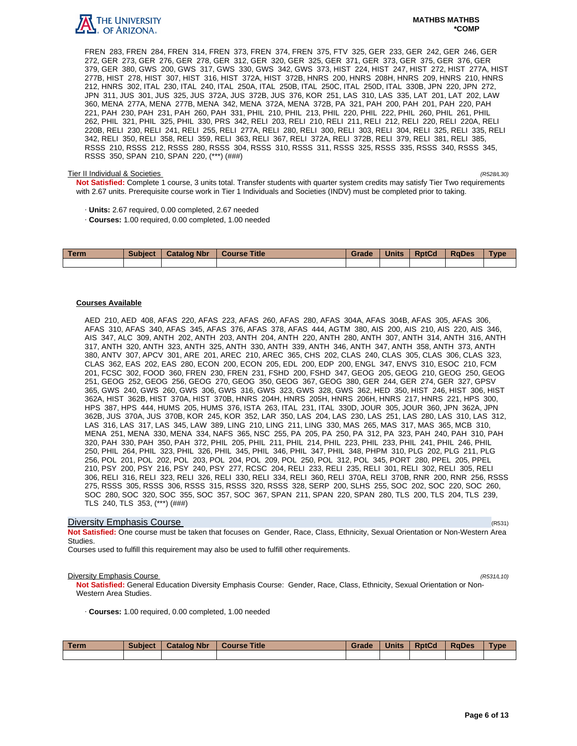

FREN 283, FREN 284, FREN 314, FREN 373, FREN 374, FREN 375, FTV 325, GER 233, GER 242, GER 246, GER 272, GER 273, GER 276, GER 278, GER 312, GER 320, GER 325, GER 371, GER 373, GER 375, GER 376, GER 379, GER 380, GWS 200, GWS 317, GWS 330, GWS 342, GWS 373, HIST 224, HIST 247, HIST 272, HIST 277A, HIST 277B, HIST 278, HIST 307, HIST 316, HIST 372A, HIST 372B, HNRS 200, HNRS 208H, HNRS 209, HNRS 210, HNRS 212, HNRS 302, ITAL 230, ITAL 240, ITAL 250A, ITAL 250B, ITAL 250C, ITAL 250D, ITAL 330B, JPN 220, JPN 272, JPN 311, JUS 301, JUS 325, JUS 372A, JUS 372B, JUS 376, KOR 251, LAS 310, LAS 335, LAT 201, LAT 202, LAW 360, MENA 277A, MENA 277B, MENA 342, MENA 372A, MENA 372B, PA 321, PAH 200, PAH 201, PAH 220, PAH 221, PAH 230, PAH 231, PAH 260, PAH 331, PHIL 210, PHIL 213, PHIL 220, PHIL 222, PHIL 260, PHIL 261, PHIL 262, PHIL 321, PHIL 325, PHIL 330, PRS 342, RELI 203, RELI 210, RELI 211, RELI 212, RELI 220, RELI 220A, RELI 220B, RELI 230, RELI 241, RELI 255, RELI 277A, RELI 280, RELI 300, RELI 303, RELI 304, RELI 325, RELI 335, RELI 342, RELI 350, RELI 358, RELI 359, RELI 363, RELI 367, RELI 372A, RELI 372B, RELI 379, RELI 381, RELI 385, RSSS 210, RSSS 212, RSSS 280, RSSS 304, RSSS 310, RSSS 311, RSSS 325, RSSS 335, RSSS 340, RSSS 345, RSSS 350, SPAN 210, SPAN 220, (\*\*\*) (###)

# Tier II Individual & Societies (R528/L30)

**Not Satisfied:** Complete 1 course, 3 units total. Transfer students with quarter system credits may satisfy Tier Two requirements with 2.67 units. Prerequisite course work in Tier 1 Individuals and Societies (INDV) must be completed prior to taking.

- · **Units:** 2.67 required, 0.00 completed, 2.67 needed
- · **Courses:** 1.00 required, 0.00 completed, 1.00 needed

| <b>Term</b> | <b>Subject</b> | <b>Catalog Nbr</b> | <b>Course Title</b> | Grade | <b>Units</b> | <b>RptCd</b> | <b>RaDes</b> | Type |
|-------------|----------------|--------------------|---------------------|-------|--------------|--------------|--------------|------|
|             |                |                    |                     |       |              |              |              |      |

# **Courses Available**

AED 210, AED 408, AFAS 220, AFAS 223, AFAS 260, AFAS 280, AFAS 304A, AFAS 304B, AFAS 305, AFAS 306, AFAS 310, AFAS 340, AFAS 345, AFAS 376, AFAS 378, AFAS 444, AGTM 380, AIS 200, AIS 210, AIS 220, AIS 346, AIS 347, ALC 309, ANTH 202, ANTH 203, ANTH 204, ANTH 220, ANTH 280, ANTH 307, ANTH 314, ANTH 316, ANTH 317, ANTH 320, ANTH 323, ANTH 325, ANTH 330, ANTH 339, ANTH 346, ANTH 347, ANTH 358, ANTH 373, ANTH 380, ANTV 307, APCV 301, ARE 201, AREC 210, AREC 365, CHS 202, CLAS 240, CLAS 305, CLAS 306, CLAS 323, CLAS 362, EAS 202, EAS 280, ECON 200, ECON 205, EDL 200, EDP 200, ENGL 347, ENVS 310, ESOC 210, FCM 201, FCSC 302, FOOD 360, FREN 230, FREN 231, FSHD 200, FSHD 347, GEOG 205, GEOG 210, GEOG 250, GEOG 251, GEOG 252, GEOG 256, GEOG 270, GEOG 350, GEOG 367, GEOG 380, GER 244, GER 274, GER 327, GPSV 365, GWS 240, GWS 260, GWS 306, GWS 316, GWS 323, GWS 328, GWS 362, HED 350, HIST 246, HIST 306, HIST 362A, HIST 362B, HIST 370A, HIST 370B, HNRS 204H, HNRS 205H, HNRS 206H, HNRS 217, HNRS 221, HPS 300, HPS 387, HPS 444, HUMS 205, HUMS 376, ISTA 263, ITAL 231, ITAL 330D, JOUR 305, JOUR 360, JPN 362A, JPN 362B, JUS 370A, JUS 370B, KOR 245, KOR 352, LAR 350, LAS 204, LAS 230, LAS 251, LAS 280, LAS 310, LAS 312, LAS 316, LAS 317, LAS 345, LAW 389, LING 210, LING 211, LING 330, MAS 265, MAS 317, MAS 365, MCB 310, MENA 251, MENA 330, MENA 334, NAFS 365, NSC 255, PA 205, PA 250, PA 312, PA 323, PAH 240, PAH 310, PAH 320, PAH 330, PAH 350, PAH 372, PHIL 205, PHIL 211, PHIL 214, PHIL 223, PHIL 233, PHIL 241, PHIL 246, PHIL 250, PHIL 264, PHIL 323, PHIL 326, PHIL 345, PHIL 346, PHIL 347, PHIL 348, PHPM 310, PLG 202, PLG 211, PLG 256, POL 201, POL 202, POL 203, POL 204, POL 209, POL 250, POL 312, POL 345, PORT 280, PPEL 205, PPEL 210, PSY 200, PSY 216, PSY 240, PSY 277, RCSC 204, RELI 233, RELI 235, RELI 301, RELI 302, RELI 305, RELI 306, RELI 316, RELI 323, RELI 326, RELI 330, RELI 334, RELI 360, RELI 370A, RELI 370B, RNR 200, RNR 256, RSSS 275, RSSS 305, RSSS 306, RSSS 315, RSSS 320, RSSS 328, SERP 200, SLHS 255, SOC 202, SOC 220, SOC 260, SOC 280, SOC 320, SOC 355, SOC 357, SOC 367, SPAN 211, SPAN 220, SPAN 280, TLS 200, TLS 204, TLS 239, TLS 240, TLS 353, (\*\*\*) (###)

# **Diversity Emphasis Course** (R531) **Diversity Emphasis Course**

**Not Satisfied:** One course must be taken that focuses on Gender, Race, Class, Ethnicity, Sexual Orientation or Non-Western Area Studies.

Courses used to fulfill this requirement may also be used to fulfill other requirements.

## **Diversity Emphasis Course** (R531/L10)

**Not Satisfied:** General Education Diversity Emphasis Course: Gender, Race, Class, Ethnicity, Sexual Orientation or Non-Western Area Studies.

· **Courses:** 1.00 required, 0.00 completed, 1.00 needed

| Term | <b>Subject</b> | <b>Catalog Nbr</b> | <b>Course Title</b> | Grade | <b>Units</b> | <b>RptCd</b> | <b>RaDes</b> | <b>Type</b> |
|------|----------------|--------------------|---------------------|-------|--------------|--------------|--------------|-------------|
|      |                |                    |                     |       |              |              |              |             |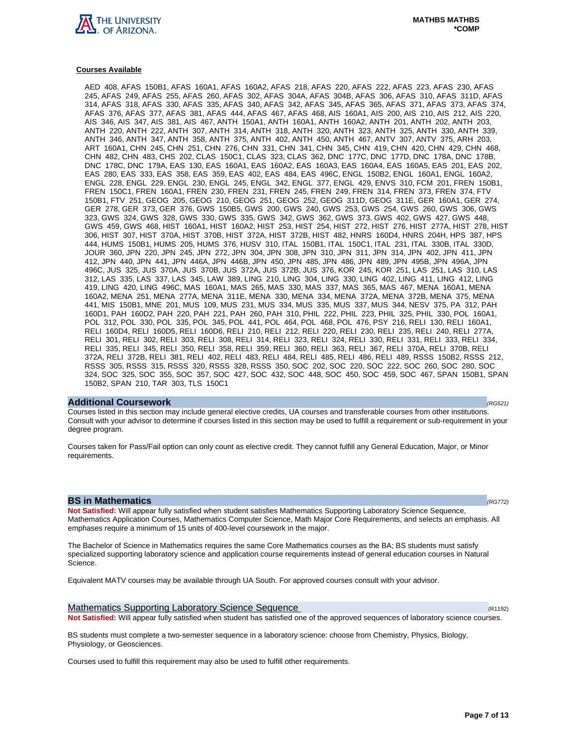

AED 408, AFAS 150B1, AFAS 160A1, AFAS 160A2, AFAS 218, AFAS 220, AFAS 222, AFAS 223, AFAS 230, AFAS 245, AFAS 249, AFAS 255, AFAS 260, AFAS 302, AFAS 304A, AFAS 304B, AFAS 306, AFAS 310, AFAS 311D, AFAS 314, AFAS 318, AFAS 330, AFAS 335, AFAS 340, AFAS 342, AFAS 345, AFAS 365, AFAS 371, AFAS 373, AFAS 374, AFAS 376, AFAS 377, AFAS 381, AFAS 444, AFAS 467, AFAS 468, AIS 160A1, AIS 200, AIS 210, AIS 212, AIS 220, AIS 346, AIS 347, AIS 381, AIS 467, ANTH 150A1, ANTH 160A1, ANTH 160A2, ANTH 201, ANTH 202, ANTH 203, ANTH 220, ANTH 222, ANTH 307, ANTH 314, ANTH 318, ANTH 320, ANTH 323, ANTH 325, ANTH 330, ANTH 339, ANTH 346, ANTH 347, ANTH 358, ANTH 375, ANTH 402, ANTH 450, ANTH 467, ANTV 307, ANTV 375, ARH 203, ART 160A1, CHN 245, CHN 251, CHN 276, CHN 331, CHN 341, CHN 345, CHN 419, CHN 420, CHN 429, CHN 468, CHN 482, CHN 483, CHS 202, CLAS 150C1, CLAS 323, CLAS 362, DNC 177C, DNC 177D, DNC 178A, DNC 178B, DNC 178C, DNC 179A, EAS 130, EAS 160A1, EAS 160A2, EAS 160A3, EAS 160A4, EAS 160A5, EAS 201, EAS 202, EAS 280, EAS 333, EAS 358, EAS 359, EAS 402, EAS 484, EAS 496C, ENGL 150B2, ENGL 160A1, ENGL 160A2, ENGL 228, ENGL 229, ENGL 230, ENGL 245, ENGL 342, ENGL 377, ENGL 429, ENVS 310, FCM 201, FREN 150B1, FREN 150C1, FREN 160A1, FREN 230, FREN 231, FREN 245, FREN 249, FREN 314, FREN 373, FREN 374, FTV 150B1, FTV 251, GEOG 205, GEOG 210, GEOG 251, GEOG 252, GEOG 311D, GEOG 311E, GER 160A1, GER 274, GER 278, GER 373, GER 376, GWS 150B5, GWS 200, GWS 240, GWS 253, GWS 254, GWS 260, GWS 306, GWS 323, GWS 324, GWS 328, GWS 330, GWS 335, GWS 342, GWS 362, GWS 373, GWS 402, GWS 427, GWS 448, GWS 459, GWS 468, HIST 160A1, HIST 160A2, HIST 253, HIST 254, HIST 272, HIST 276, HIST 277A, HIST 278, HIST 306, HIST 307, HIST 370A, HIST 370B, HIST 372A, HIST 372B, HIST 482, HNRS 160D4, HNRS 204H, HPS 387, HPS 444, HUMS 150B1, HUMS 205, HUMS 376, HUSV 310, ITAL 150B1, ITAL 150C1, ITAL 231, ITAL 330B, ITAL 330D, JOUR 360, JPN 220, JPN 245, JPN 272, JPN 304, JPN 308, JPN 310, JPN 311, JPN 314, JPN 402, JPN 411, JPN 412, JPN 440, JPN 441, JPN 446A, JPN 446B, JPN 450, JPN 485, JPN 486, JPN 489, JPN 495B, JPN 496A, JPN 496C, JUS 325, JUS 370A, JUS 370B, JUS 372A, JUS 372B, JUS 376, KOR 245, KOR 251, LAS 251, LAS 310, LAS 312, LAS 335, LAS 337, LAS 345, LAW 389, LING 210, LING 304, LING 330, LING 402, LING 411, LING 412, LING 419, LING 420, LING 496C, MAS 160A1, MAS 265, MAS 330, MAS 337, MAS 365, MAS 467, MENA 160A1, MENA 160A2, MENA 251, MENA 277A, MENA 311E, MENA 330, MENA 334, MENA 372A, MENA 372B, MENA 375, MENA 441, MIS 150B1, MNE 201, MUS 109, MUS 231, MUS 334, MUS 335, MUS 337, MUS 344, NESV 375, PA 312, PAH 160D1, PAH 160D2, PAH 220, PAH 221, PAH 260, PAH 310, PHIL 222, PHIL 223, PHIL 325, PHIL 330, POL 160A1, POL 312, POL 330, POL 335, POL 345, POL 441, POL 464, POL 468, POL 476, PSY 216, RELI 130, RELI 160A1, RELI 160D4, RELI 160D5, RELI 160D6, RELI 210, RELI 212, RELI 220, RELI 230, RELI 235, RELI 240, RELI 277A, RELI 301, RELI 302, RELI 303, RELI 308, RELI 314, RELI 323, RELI 324, RELI 330, RELI 331, RELI 333, RELI 334, RELI 335, RELI 345, RELI 350, RELI 358, RELI 359, RELI 360, RELI 363, RELI 367, RELI 370A, RELI 370B, RELI 372A, RELI 372B, RELI 381, RELI 402, RELI 483, RELI 484, RELI 485, RELI 486, RELI 489, RSSS 150B2, RSSS 212, RSSS 305, RSSS 315, RSSS 320, RSSS 328, RSSS 350, SOC 202, SOC 220, SOC 222, SOC 260, SOC 280, SOC 324, SOC 325, SOC 355, SOC 357, SOC 427, SOC 432, SOC 448, SOC 450, SOC 459, SOC 467, SPAN 150B1, SPAN 150B2, SPAN 210, TAR 303, TLS 150C1

# **Additional Coursework** (RG521)

Courses listed in this section may include general elective credits, UA courses and transferable courses from other institutions. Consult with your advisor to determine if courses listed in this section may be used to fulfill a requirement or sub-requirement in your degree program.

Courses taken for Pass/Fail option can only count as elective credit. They cannot fulfill any General Education, Major, or Minor requirements.

# **BS in Mathematics (RG772)**

**Not Satisfied:** Will appear fully satisfied when student satisfies Mathematics Supporting Laboratory Science Sequence, Mathematics Application Courses, Mathematics Computer Science, Math Major Core Requirements, and selects an emphasis. All emphases require a minimum of 15 units of 400-level coursework in the major.

The Bachelor of Science in Mathematics requires the same Core Mathematics courses as the BA; BS students must satisfy specialized supporting laboratory science and application course requirements instead of general education courses in Natural Science.

Equivalent MATV courses may be available through UA South. For approved courses consult with your advisor.

Mathematics Supporting Laboratory Science Sequence (R1192) (R1192) **Not Satisfied:** Will appear fully satisfied when student has satisfied one of the approved sequences of laboratory science courses.

BS students must complete a two-semester sequence in a laboratory science: choose from Chemistry, Physics, Biology, Physiology, or Geosciences.

Courses used to fulfill this requirement may also be used to fulfill other requirements.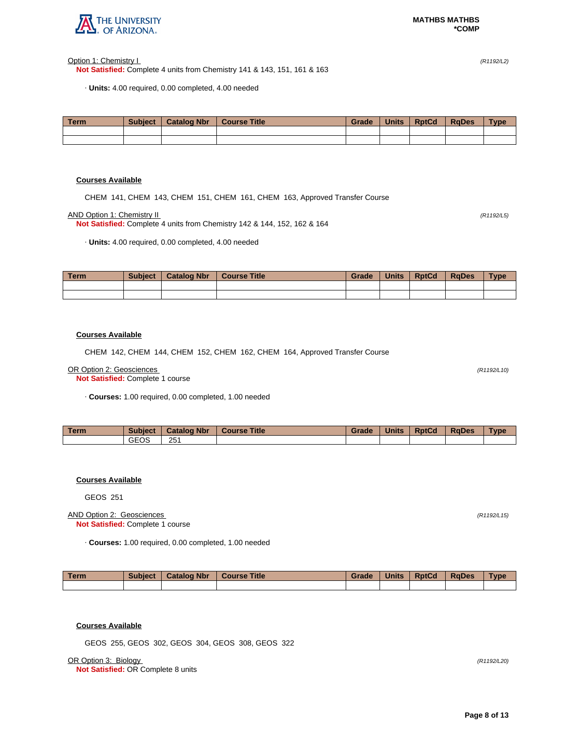

Option 1: Chemistry I (R1192/L2)

**Not Satisfied:** Complete 4 units from Chemistry 141 & 143, 151, 161 & 163

· **Units:** 4.00 required, 0.00 completed, 4.00 needed

| <b>Term</b> | <b>Subject</b> | <b>Catalog Nbr</b> | <b>Course Title</b> | Grade | <b>Units</b> | <b>RptCd</b> | <b>RaDes</b> | <b>Type</b> |
|-------------|----------------|--------------------|---------------------|-------|--------------|--------------|--------------|-------------|
|             |                |                    |                     |       |              |              |              |             |
|             |                |                    |                     |       |              |              |              |             |

# **Courses Available**

CHEM 141, CHEM 143, CHEM 151, CHEM 161, CHEM 163, Approved Transfer Course

AND Option 1: Chemistry II (R1192/L5)

**Not Satisfied:** Complete 4 units from Chemistry 142 & 144, 152, 162 & 164

· **Units:** 4.00 required, 0.00 completed, 4.00 needed

| Term | <b>Subject</b> | <b>Catalog Nbr</b> | <b>Course Title</b> | Grade | <b>Units</b> | <b>RptCd</b> | <b>RaDes</b> | <b>Type</b> |
|------|----------------|--------------------|---------------------|-------|--------------|--------------|--------------|-------------|
|      |                |                    |                     |       |              |              |              |             |
|      |                |                    |                     |       |              |              |              |             |

# **Courses Available**

CHEM 142, CHEM 144, CHEM 152, CHEM 162, CHEM 164, Approved Transfer Course

#### OR Option 2: Geosciences (R1192/L10)

**Not Satisfied:** Complete 1 course

· **Courses:** 1.00 required, 0.00 completed, 1.00 needed

| <b>Term</b> | <b>Subject</b> | <b>Catalog Nbr</b> | <b>Course Title</b> | Grade | <b>Units</b> | <b>RptCd</b> | <b>RaDes</b> | <b>Type</b> |
|-------------|----------------|--------------------|---------------------|-------|--------------|--------------|--------------|-------------|
|             | <b>GEOS</b>    | 251                |                     |       |              |              |              |             |

# **Courses Available**

GEOS 251

# AND Option 2: Geosciences (R1192/L15) **Not Satisfied:** Complete 1 course

· **Courses:** 1.00 required, 0.00 completed, 1.00 needed

| Term | <b>Subject</b> | <b>Catalog Nbr</b> | Course Title | Grade | <b>Units</b> | <b>RptCd</b> | <b>RaDes</b> | <b>Type</b> |
|------|----------------|--------------------|--------------|-------|--------------|--------------|--------------|-------------|
|      |                |                    |              |       |              |              |              |             |

# **Courses Available**

GEOS 255, GEOS 302, GEOS 304, GEOS 308, GEOS 322

OR Option 3: Biology (R1192/L20)

**Not Satisfied:** OR Complete 8 units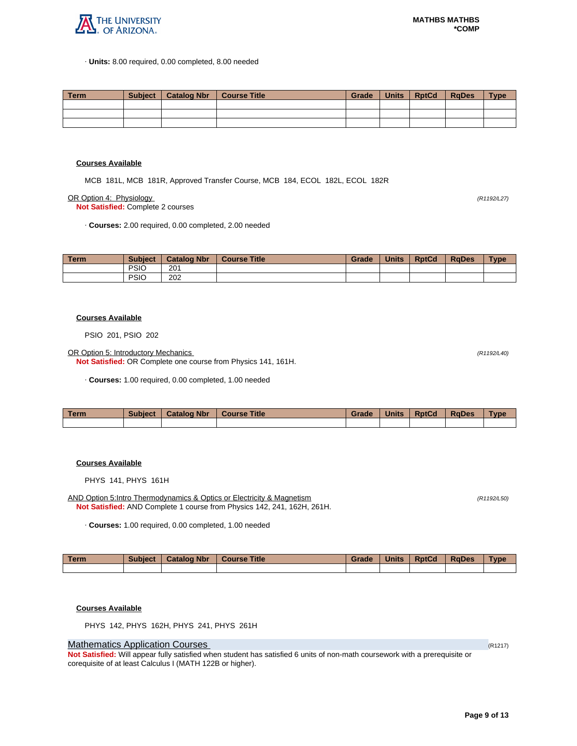

· **Units:** 8.00 required, 0.00 completed, 8.00 needed

| Term | Subiect | <sup>1</sup> Catalog Nbr | Course Title | Grade | Units | <b>RptCd</b> | RaDes | <b>Type</b> |
|------|---------|--------------------------|--------------|-------|-------|--------------|-------|-------------|
|      |         |                          |              |       |       |              |       |             |
|      |         |                          |              |       |       |              |       |             |
|      |         |                          |              |       |       |              |       |             |

# **Courses Available**

MCB 181L, MCB 181R, Approved Transfer Course, MCB 184, ECOL 182L, ECOL 182R

OR Option 4: Physiology (R1192/L27)

**Not Satisfied:** Complete 2 courses

· **Courses:** 2.00 required, 0.00 completed, 2.00 needed

| <b>Term</b> | <b>Subject</b> | <b>Catalog Nbr</b> | <b>Course Title</b> | Grade | <b>Units</b> | <b>RptCd</b> | <b>RaDes</b> | <b>Type</b> |
|-------------|----------------|--------------------|---------------------|-------|--------------|--------------|--------------|-------------|
|             | <b>PSIO</b>    | 201                |                     |       |              |              |              |             |
|             | <b>PSIC</b>    | 202                |                     |       |              |              |              |             |

## **Courses Available**

PSIO 201, PSIO 202

OR Option 5: Introductory Mechanics (R1192/L40)

**Not Satisfied:** OR Complete one course from Physics 141, 161H.

· **Courses:** 1.00 required, 0.00 completed, 1.00 needed

| <b>Term</b> | Subject | <b>Catalog Nbr</b> | <b>Course Title</b> | Grade | <b>Units</b> | <b>RptCd</b> | <b>RaDes</b> | Type |
|-------------|---------|--------------------|---------------------|-------|--------------|--------------|--------------|------|
|             |         |                    |                     |       |              |              |              |      |

# **Courses Available**

PHYS 141, PHYS 161H

AND Option 5:Intro Thermodynamics & Optics or Electricity & Magnetism (R1192/L50) (R1192/L50) **Not Satisfied:** AND Complete 1 course from Physics 142, 241, 162H, 261H.

· **Courses:** 1.00 required, 0.00 completed, 1.00 needed

| Term | <b>Subject</b> | <b>Catalog Nbr</b> | Course Title | Grade | <b>Units</b> | <b>RptCd</b> | <b>RaDes</b> | <b>Type</b> |
|------|----------------|--------------------|--------------|-------|--------------|--------------|--------------|-------------|
|      |                |                    |              |       |              |              |              |             |

**Courses Available**

PHYS 142, PHYS 162H, PHYS 241, PHYS 261H

# **Mathematics Application Courses (R1217)** (R1217)

**Not Satisfied:** Will appear fully satisfied when student has satisfied 6 units of non-math coursework with a prerequisite or corequisite of at least Calculus I (MATH 122B or higher).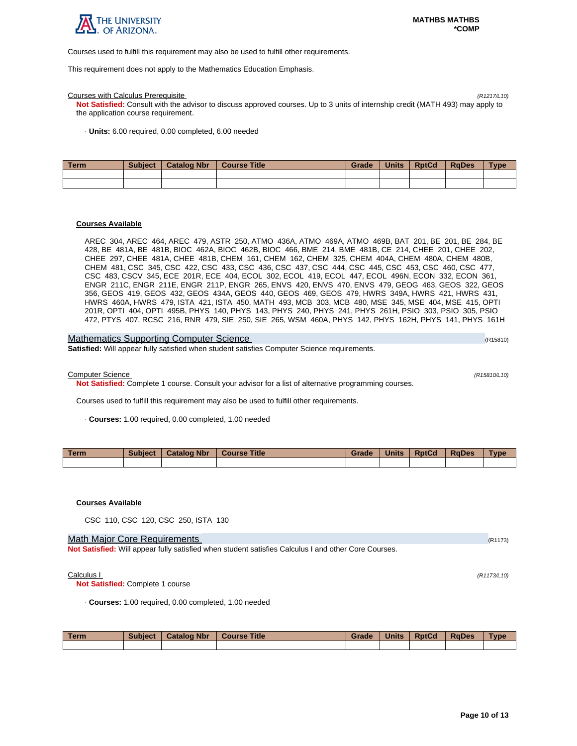

Courses used to fulfill this requirement may also be used to fulfill other requirements.

This requirement does not apply to the Mathematics Education Emphasis.

## Courses with Calculus Prerequisite (R1217/L10)

**Not Satisfied:** Consult with the advisor to discuss approved courses. Up to 3 units of internship credit (MATH 493) may apply to the application course requirement.

· **Units:** 6.00 required, 0.00 completed, 6.00 needed

| l Term | <b>Subject</b> | <b>Catalog Nbr</b> | Course Title | Grade | <b>Units</b> | <b>RptCd</b> | <b>RaDes</b> | <b>Type</b> |
|--------|----------------|--------------------|--------------|-------|--------------|--------------|--------------|-------------|
|        |                |                    |              |       |              |              |              |             |
|        |                |                    |              |       |              |              |              |             |

## **Courses Available**

AREC 304, AREC 464, AREC 479, ASTR 250, ATMO 436A, ATMO 469A, ATMO 469B, BAT 201, BE 201, BE 284, BE 428, BE 481A, BE 481B, BIOC 462A, BIOC 462B, BIOC 466, BME 214, BME 481B, CE 214, CHEE 201, CHEE 202, CHEE 297, CHEE 481A, CHEE 481B, CHEM 161, CHEM 162, CHEM 325, CHEM 404A, CHEM 480A, CHEM 480B, CHEM 481, CSC 345, CSC 422, CSC 433, CSC 436, CSC 437, CSC 444, CSC 445, CSC 453, CSC 460, CSC 477, CSC 483, CSCV 345, ECE 201R, ECE 404, ECOL 302, ECOL 419, ECOL 447, ECOL 496N, ECON 332, ECON 361, ENGR 211C, ENGR 211E, ENGR 211P, ENGR 265, ENVS 420, ENVS 470, ENVS 479, GEOG 463, GEOS 322, GEOS 356, GEOS 419, GEOS 432, GEOS 434A, GEOS 440, GEOS 469, GEOS 479, HWRS 349A, HWRS 421, HWRS 431, HWRS 460A, HWRS 479, ISTA 421, ISTA 450, MATH 493, MCB 303, MCB 480, MSE 345, MSE 404, MSE 415, OPTI 201R, OPTI 404, OPTI 495B, PHYS 140, PHYS 143, PHYS 240, PHYS 241, PHYS 261H, PSIO 303, PSIO 305, PSIO 472, PTYS 407, RCSC 216, RNR 479, SIE 250, SIE 265, WSM 460A, PHYS 142, PHYS 162H, PHYS 141, PHYS 161H

| <b>Mathematics Supporting Computer Science</b>                                                      | (R15810) |
|-----------------------------------------------------------------------------------------------------|----------|
| <b>Satisfied:</b> Will appear fully satisfied when student satisfies Computer Science requirements. |          |

Computer Science (R15810/L10)

**Not Satisfied:** Complete 1 course. Consult your advisor for a list of alternative programming courses.

Courses used to fulfill this requirement may also be used to fulfill other requirements.

· **Courses:** 1.00 required, 0.00 completed, 1.00 needed

| <b>Term</b> | <b>Subject</b> | <b>Catalog Nbr</b> | <b>Course Title</b> | Grade | <b>Units</b> | <b>RptCd</b> | <b>RaDes</b> | Type |
|-------------|----------------|--------------------|---------------------|-------|--------------|--------------|--------------|------|
|             |                |                    |                     |       |              |              |              |      |

# **Courses Available**

CSC 110, CSC 120, CSC 250, ISTA 130

## Math Major Core Requirements (R1173) (R1173)

**Not Satisfied:** Will appear fully satisfied when student satisfies Calculus I and other Core Courses.

#### Calculus I (R1173/L10)

**Not Satisfied:** Complete 1 course

· **Courses:** 1.00 required, 0.00 completed, 1.00 needed

| <b>Term</b> | <b>Subject</b> | <b>Catalog Nbr</b> | <b>Course Title</b> | Grade | <b>Units</b> | <b>RptCd</b> | <b>RaDes</b> | <b>Type</b> |
|-------------|----------------|--------------------|---------------------|-------|--------------|--------------|--------------|-------------|
|             |                |                    |                     |       |              |              |              |             |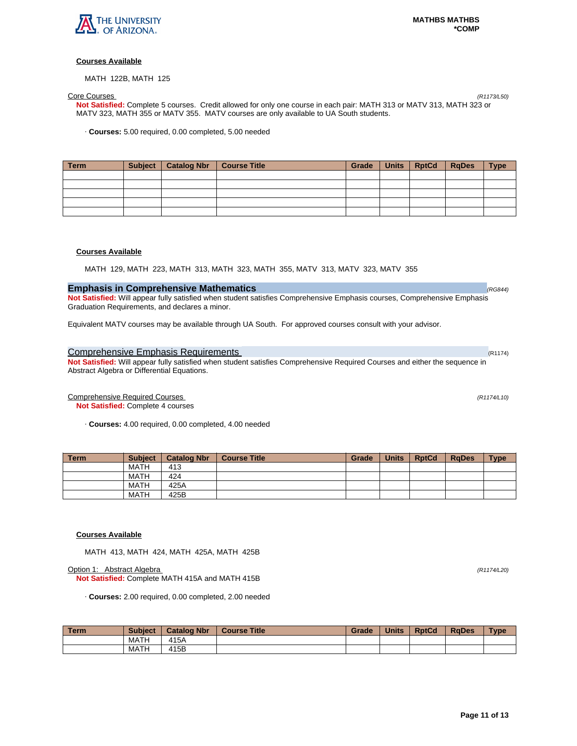

MATH 122B, MATH 125

Core Courses (R1173/L50) **Not Satisfied:** Complete 5 courses. Credit allowed for only one course in each pair: MATH 313 or MATV 313, MATH 323 or MATV 323, MATH 355 or MATV 355. MATV courses are only available to UA South students.

· **Courses:** 5.00 required, 0.00 completed, 5.00 needed

| Term | Subject   Catalog Nbr | Course Title | Grade | Units   RptCd | <b>RaDes</b> | <b>Type</b> |
|------|-----------------------|--------------|-------|---------------|--------------|-------------|
|      |                       |              |       |               |              |             |
|      |                       |              |       |               |              |             |
|      |                       |              |       |               |              |             |
|      |                       |              |       |               |              |             |
|      |                       |              |       |               |              |             |

# **Courses Available**

MATH 129, MATH 223, MATH 313, MATH 323, MATH 355, MATV 313, MATV 323, MATV 355

# **Emphasis in Comprehensive Mathematics**  (RG844) **Comprehensive Mathematics (RG844)**

**Not Satisfied:** Will appear fully satisfied when student satisfies Comprehensive Emphasis courses, Comprehensive Emphasis Graduation Requirements, and declares a minor.

Equivalent MATV courses may be available through UA South. For approved courses consult with your advisor.

# Comprehensive Emphasis Requirements (R1174) and Research (R1174) and R1174) and R1174)

**Not Satisfied:** Will appear fully satisfied when student satisfies Comprehensive Required Courses and either the sequence in Abstract Algebra or Differential Equations.

Comprehensive Required Courses (R1174/L10)

**Not Satisfied:** Complete 4 courses

· **Courses:** 4.00 required, 0.00 completed, 4.00 needed

| <b>Term</b> | <b>Subject</b> | <b>Catalog Nbr</b> | <b>Course Title</b> | Grade | <b>Units</b> | <b>RptCd</b> | <b>RaDes</b> | <b>Type</b> |
|-------------|----------------|--------------------|---------------------|-------|--------------|--------------|--------------|-------------|
|             | <b>MATH</b>    | 413                |                     |       |              |              |              |             |
|             | <b>MATH</b>    | 424                |                     |       |              |              |              |             |
|             | <b>MATH</b>    | 425A               |                     |       |              |              |              |             |
|             | <b>MATH</b>    | 425B               |                     |       |              |              |              |             |

# **Courses Available**

MATH 413, MATH 424, MATH 425A, MATH 425B

Option 1: Abstract Algebra (R1174/L20)

**Not Satisfied:** Complete MATH 415A and MATH 415B

· **Courses:** 2.00 required, 0.00 completed, 2.00 needed

| <b>Term</b> | <b>Subject</b> | <b>Catalog Nbr</b> | <b>Course Title</b> | Grade | <b>Units</b> | <b>RptCd</b> | <b>RaDes</b> | <b>Type</b> |
|-------------|----------------|--------------------|---------------------|-------|--------------|--------------|--------------|-------------|
|             | MATH           | 415A               |                     |       |              |              |              |             |
|             | MATH           | 415B               |                     |       |              |              |              |             |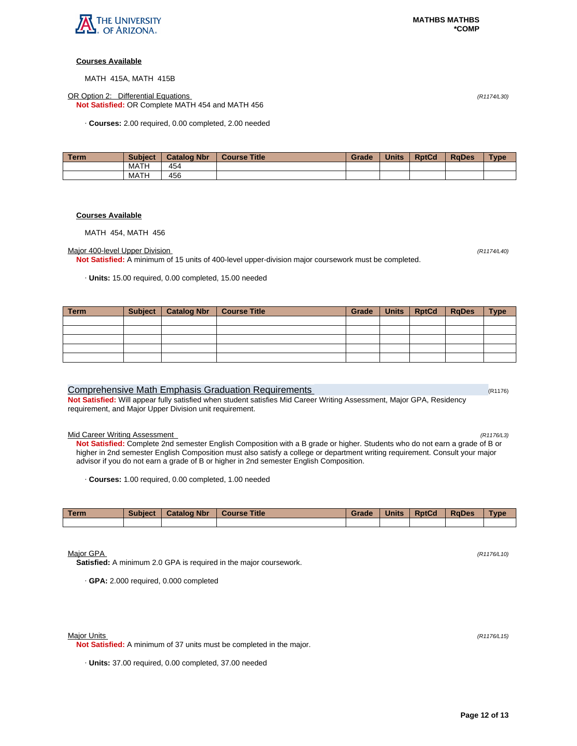

MATH 415A, MATH 415B

OR Option 2: Differential Equations (R1174/L30) **Not Satisfied:** OR Complete MATH 454 and MATH 456

· **Courses:** 2.00 required, 0.00 completed, 2.00 needed

| l Term | <b>Subject</b> | <b>Catalog Nbr</b> | <b>Course Title</b> | Grade | <b>Units</b> | <b>RptCd</b> | <b>RaDes</b> | Type |
|--------|----------------|--------------------|---------------------|-------|--------------|--------------|--------------|------|
|        | MATH           | 454                |                     |       |              |              |              |      |
|        | MATH           | 456                |                     |       |              |              |              |      |

# **Courses Available**

MATH 454, MATH 456

# Major 400-level Upper Division (Rtandon) (Rtandon Casa et al. (Rtandon Casa et al. (Rtandon Casa et al. (Rtandon Casa et al. (Rtandon) (Rtandon) (Rtandon) (Rtandon Casa et al. (Rtandon) (Rtandon) (Rtandon) (Rtandon) (Rtand

**Not Satisfied:** A minimum of 15 units of 400-level upper-division major coursework must be completed.

· **Units:** 15.00 required, 0.00 completed, 15.00 needed

| Term | Subject | Catalog Nbr Course Title | Grade | Units   RptCd | <b>RgDes</b> | <b>Type</b> |
|------|---------|--------------------------|-------|---------------|--------------|-------------|
|      |         |                          |       |               |              |             |
|      |         |                          |       |               |              |             |
|      |         |                          |       |               |              |             |
|      |         |                          |       |               |              |             |
|      |         |                          |       |               |              |             |

# Comprehensive Math Emphasis Graduation Requirements (R1176) Comprehensive Math CR1176)

**Not Satisfied:** Will appear fully satisfied when student satisfies Mid Career Writing Assessment, Major GPA, Residency requirement, and Major Upper Division unit requirement.

# Mid Career Writing Assessment (R1176/L3)

**Not Satisfied:** Complete 2nd semester English Composition with a B grade or higher. Students who do not earn a grade of B or higher in 2nd semester English Composition must also satisfy a college or department writing requirement. Consult your major advisor if you do not earn a grade of B or higher in 2nd semester English Composition.

· **Courses:** 1.00 required, 0.00 completed, 1.00 needed

| Term | <b>Subject</b> | <b>Catalog Nbr</b> | <b>Course Title</b> | Grade | <b>Units</b> | <b>RptCd</b> | <b>RaDes</b> | <b>Type</b> |
|------|----------------|--------------------|---------------------|-------|--------------|--------------|--------------|-------------|
|      |                |                    |                     |       |              |              |              |             |

Major GPA (R1176/L10)

**Satisfied:** A minimum 2.0 GPA is required in the major coursework.

· **GPA:** 2.000 required, 0.000 completed

**Not Satisfied:** A minimum of 37 units must be completed in the major.

· **Units:** 37.00 required, 0.00 completed, 37.00 needed